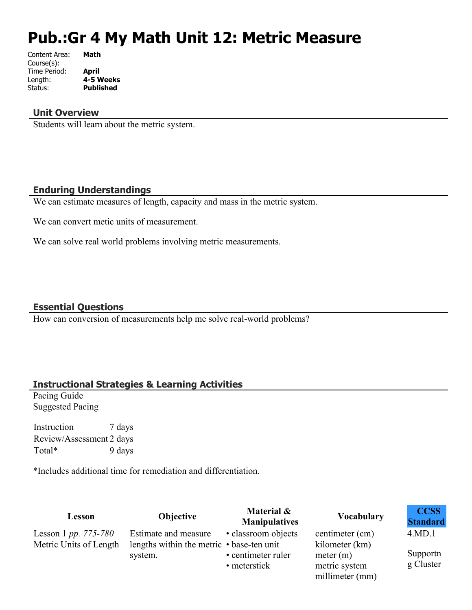# **Pub.:Gr 4 My Math Unit 12: Metric Measure**

| Content Area: | Math             |
|---------------|------------------|
| Course(s):    |                  |
| Time Period:  | April            |
| Length:       | 4-5 Weeks        |
| Status:       | <b>Published</b> |
|               |                  |

### **Unit Overview**

Students will learn about the metric system.

#### **Enduring Understandings**

We can estimate measures of length, capacity and mass in the metric system.

We can convert metic units of measurement.

We can solve real world problems involving metric measurements.

### **Essential Questions**

How can conversion of measurements help me solve real-world problems?

### **Instructional Strategies & Learning Activities**

Pacing Guide Suggested Pacing

Instruction 7 days Review/Assessment 2 days Total\* 9 days

\*Includes additional time for remediation and differentiation.

| Lesson                                         | Objective                                                               | Material &<br><b>Manipulatives</b> | <b>Vocabulary</b>                             | <b>CCSS</b><br><b>Standard</b> |
|------------------------------------------------|-------------------------------------------------------------------------|------------------------------------|-----------------------------------------------|--------------------------------|
| Lesson 1 pp. 775-780<br>Metric Units of Length | Estimate and measure<br>lengths within the metric $\cdot$ base-ten unit | • classroom objects                | centimeter (cm)<br>kilometer (km)             | 4.MD.1                         |
|                                                | system.                                                                 | • centimeter ruler<br>• meterstick | meter (m)<br>metric system<br>millimeter (mm) | Supportn<br>g Cluster          |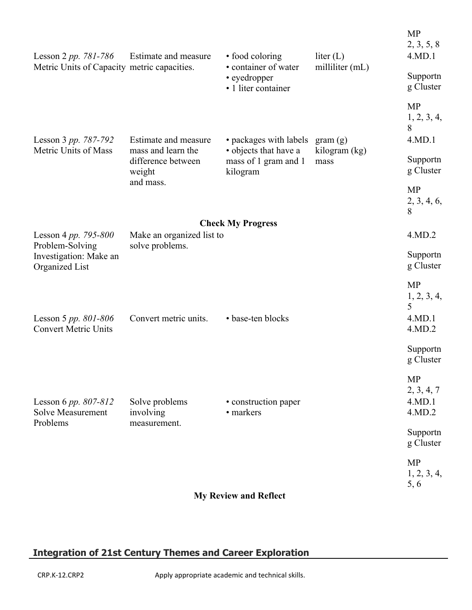| Lesson 2 pp. 781-786                                    | Estimate and measure                         | • food coloring                                             | liter $(L)$              | <b>MP</b><br>2, 3, 5, 8<br>4.MD.1                 |
|---------------------------------------------------------|----------------------------------------------|-------------------------------------------------------------|--------------------------|---------------------------------------------------|
| Metric Units of Capacity metric capacities.             |                                              | • container of water<br>• eyedropper<br>• 1 liter container | milliliter (mL)          | Supportn<br>g Cluster                             |
|                                                         |                                              |                                                             |                          | <b>MP</b><br>1, 2, 3, 4,<br>8<br>4.MD.1           |
| Lesson 3 pp. 787-792<br>Metric Units of Mass            | Estimate and measure<br>mass and learn the   | • packages with labels<br>• objects that have a             | gram(g)<br>kilogram (kg) |                                                   |
|                                                         | difference between<br>weight                 | mass of 1 gram and 1<br>kilogram                            | mass                     | Supportn<br>g Cluster                             |
|                                                         | and mass.                                    |                                                             |                          | <b>MP</b><br>2, 3, 4, 6,<br>8                     |
|                                                         |                                              | <b>Check My Progress</b>                                    |                          |                                                   |
| Lesson 4 pp. 795-800<br>Problem-Solving                 | Make an organized list to<br>solve problems. |                                                             |                          | 4.MD.2                                            |
| Investigation: Make an<br>Organized List                |                                              |                                                             |                          | Supportn<br>g Cluster                             |
| Lesson 5 pp. $801 - 806$<br><b>Convert Metric Units</b> | Convert metric units.                        | • base-ten blocks                                           |                          | <b>MP</b><br>1, 2, 3, 4,<br>5<br>4.MD.1<br>4.MD.2 |
|                                                         |                                              |                                                             |                          | Supportn<br>g Cluster                             |
| Lesson 6 pp. 807-812<br><b>Solve Measurement</b>        | Solve problems<br>involving                  | • construction paper<br>• markers                           |                          | <b>MP</b><br>2, 3, 4, 7<br>4.MD.1<br>4.MD.2       |
| Problems                                                | measurement.                                 |                                                             |                          | Supportn<br>g Cluster                             |
|                                                         |                                              |                                                             |                          | <b>MP</b><br>1, 2, 3, 4,<br>5, 6                  |
|                                                         |                                              | <b>My Review and Reflect</b>                                |                          |                                                   |

# **Integration of 21st Century Themes and Career Exploration**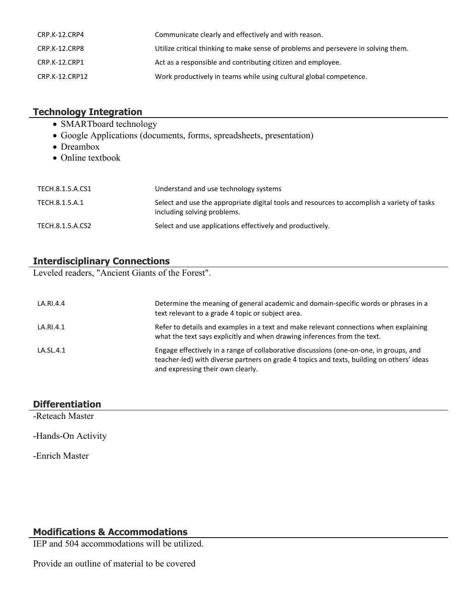| CRP.K-12.CRP4  | Communicate clearly and effectively and with reason.                               |
|----------------|------------------------------------------------------------------------------------|
| CRP.K-12.CRP8  | Utilize critical thinking to make sense of problems and persevere in solving them. |
| CRP.K-12.CRP1  | Act as a responsible and contributing citizen and employee.                        |
| CRP.K-12.CRP12 | Work productively in teams while using cultural global competence.                 |

## **Technology Integration**

- SMARTboard technology
- Google Applications (documents, forms, spreadsheets, presentation)
- Dreambox
- Online textbook

| TECH.8.1.5.A.CS1 | Understand and use technology systems                                                                                      |
|------------------|----------------------------------------------------------------------------------------------------------------------------|
| TECH.8.1.5.A.1   | Select and use the appropriate digital tools and resources to accomplish a variety of tasks<br>including solving problems. |
| TECH.8.1.5.A.CS2 | Select and use applications effectively and productively.                                                                  |

# **Interdisciplinary Connections**

Leveled readers, "Ancient Giants of the Forest".

| LA.RI.4.4 | Determine the meaning of general academic and domain-specific words or phrases in a<br>text relevant to a grade 4 topic or subject area.                                                                                 |
|-----------|--------------------------------------------------------------------------------------------------------------------------------------------------------------------------------------------------------------------------|
| LA.RI.4.1 | Refer to details and examples in a text and make relevant connections when explaining<br>what the text says explicitly and when drawing inferences from the text.                                                        |
| LA.SL.4.1 | Engage effectively in a range of collaborative discussions (one-on-one, in groups, and<br>teacher-led) with diverse partners on grade 4 topics and texts, building on others' ideas<br>and expressing their own clearly. |

## **Differentiation**

-Reteach Master

-Hands-On Activity

-Enrich Master

### **Modifications & Accommodations**

IEP and 504 accommodations will be utilized.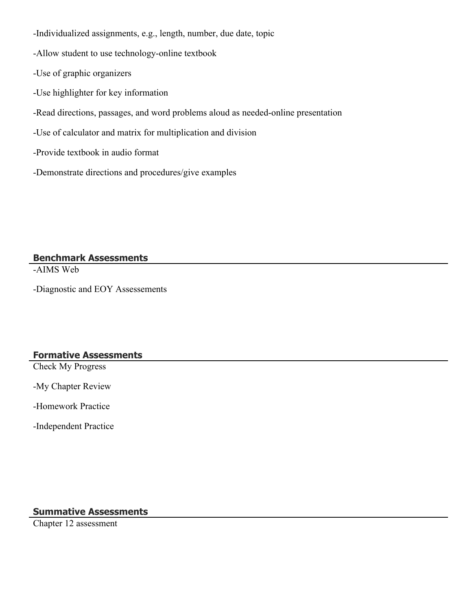-Individualized assignments, e.g., length, number, due date, topic

-Allow student to use technology-online textbook

-Use of graphic organizers

-Use highlighter for key information

-Read directions, passages, and word problems aloud as needed-online presentation

-Use of calculator and matrix for multiplication and division

-Provide textbook in audio format

-Demonstrate directions and procedures/give examples

**Benchmark Assessments**

-AIMS Web

-Diagnostic and EOY Assessements

### **Formative Assessments**

Check My Progress

-My Chapter Review

-Homework Practice

-Independent Practice

#### **Summative Assessments**

Chapter 12 assessment